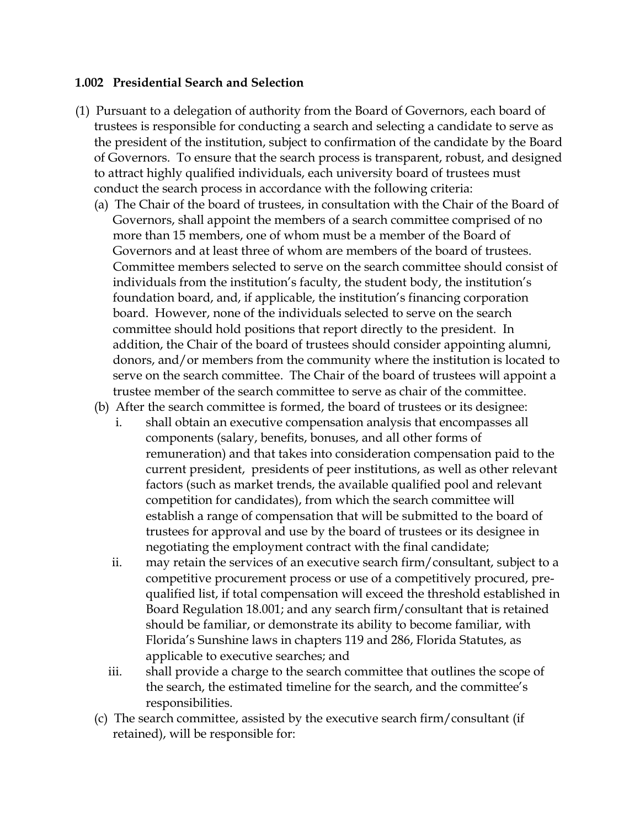## **1.002 Presidential Search and Selection**

- (1) Pursuant to a delegation of authority from the Board of Governors, each board of trustees is responsible for conducting a search and selecting a candidate to serve as the president of the institution, subject to confirmation of the candidate by the Board of Governors. To ensure that the search process is transparent, robust, and designed to attract highly qualified individuals, each university board of trustees must conduct the search process in accordance with the following criteria:
	- (a) The Chair of the board of trustees, in consultation with the Chair of the Board of Governors, shall appoint the members of a search committee comprised of no more than 15 members, one of whom must be a member of the Board of Governors and at least three of whom are members of the board of trustees. Committee members selected to serve on the search committee should consist of individuals from the institution's faculty, the student body, the institution's foundation board, and, if applicable, the institution's financing corporation board. However, none of the individuals selected to serve on the search committee should hold positions that report directly to the president. In addition, the Chair of the board of trustees should consider appointing alumni, donors, and/or members from the community where the institution is located to serve on the search committee. The Chair of the board of trustees will appoint a trustee member of the search committee to serve as chair of the committee.
	- (b) After the search committee is formed, the board of trustees or its designee:
		- i. shall obtain an executive compensation analysis that encompasses all components (salary, benefits, bonuses, and all other forms of remuneration) and that takes into consideration compensation paid to the current president, presidents of peer institutions, as well as other relevant factors (such as market trends, the available qualified pool and relevant competition for candidates), from which the search committee will establish a range of compensation that will be submitted to the board of trustees for approval and use by the board of trustees or its designee in negotiating the employment contract with the final candidate;
		- ii. may retain the services of an executive search firm/consultant, subject to a competitive procurement process or use of a competitively procured, prequalified list, if total compensation will exceed the threshold established in Board Regulation 18.001; and any search firm/consultant that is retained should be familiar, or demonstrate its ability to become familiar, with Florida's Sunshine laws in chapters 119 and 286, Florida Statutes, as applicable to executive searches; and
		- iii. shall provide a charge to the search committee that outlines the scope of the search, the estimated timeline for the search, and the committee's responsibilities.
	- (c) The search committee, assisted by the executive search firm/consultant (if retained), will be responsible for: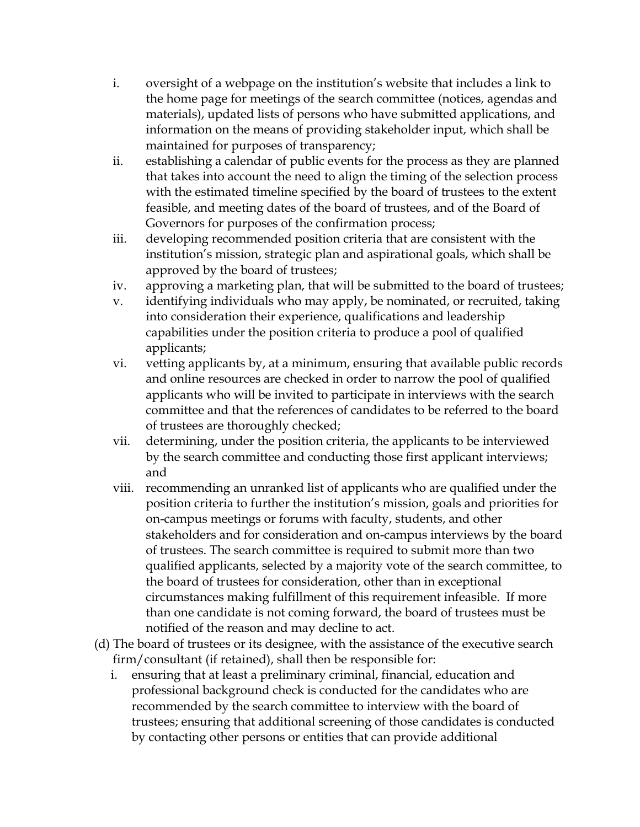- i. oversight of a webpage on the institution's website that includes a link to the home page for meetings of the search committee (notices, agendas and materials), updated lists of persons who have submitted applications, and information on the means of providing stakeholder input, which shall be maintained for purposes of transparency;
- ii. establishing a calendar of public events for the process as they are planned that takes into account the need to align the timing of the selection process with the estimated timeline specified by the board of trustees to the extent feasible, and meeting dates of the board of trustees, and of the Board of Governors for purposes of the confirmation process;
- iii. developing recommended position criteria that are consistent with the institution's mission, strategic plan and aspirational goals, which shall be approved by the board of trustees;
- iv. approving a marketing plan, that will be submitted to the board of trustees;
- v. identifying individuals who may apply, be nominated, or recruited, taking into consideration their experience, qualifications and leadership capabilities under the position criteria to produce a pool of qualified applicants;
- vi. vetting applicants by, at a minimum, ensuring that available public records and online resources are checked in order to narrow the pool of qualified applicants who will be invited to participate in interviews with the search committee and that the references of candidates to be referred to the board of trustees are thoroughly checked;
- vii. determining, under the position criteria, the applicants to be interviewed by the search committee and conducting those first applicant interviews; and
- viii. recommending an unranked list of applicants who are qualified under the position criteria to further the institution's mission, goals and priorities for on-campus meetings or forums with faculty, students, and other stakeholders and for consideration and on-campus interviews by the board of trustees. The search committee is required to submit more than two qualified applicants, selected by a majority vote of the search committee, to the board of trustees for consideration, other than in exceptional circumstances making fulfillment of this requirement infeasible. If more than one candidate is not coming forward, the board of trustees must be notified of the reason and may decline to act.
- (d) The board of trustees or its designee, with the assistance of the executive search firm/consultant (if retained), shall then be responsible for:
	- i. ensuring that at least a preliminary criminal, financial, education and professional background check is conducted for the candidates who are recommended by the search committee to interview with the board of trustees; ensuring that additional screening of those candidates is conducted by contacting other persons or entities that can provide additional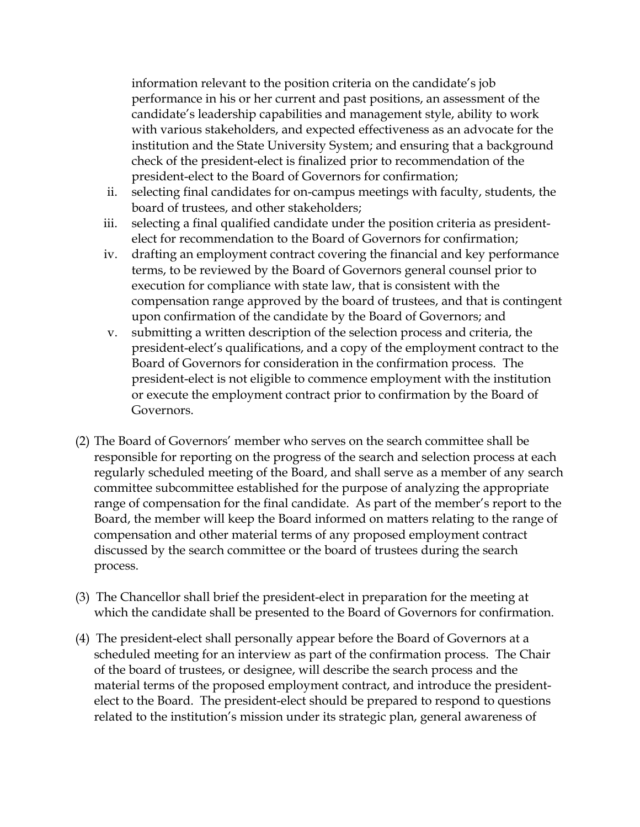information relevant to the position criteria on the candidate's job performance in his or her current and past positions, an assessment of the candidate's leadership capabilities and management style, ability to work with various stakeholders, and expected effectiveness as an advocate for the institution and the State University System; and ensuring that a background check of the president-elect is finalized prior to recommendation of the president-elect to the Board of Governors for confirmation;

- ii. selecting final candidates for on-campus meetings with faculty, students, the board of trustees, and other stakeholders;
- iii. selecting a final qualified candidate under the position criteria as presidentelect for recommendation to the Board of Governors for confirmation;
- iv. drafting an employment contract covering the financial and key performance terms, to be reviewed by the Board of Governors general counsel prior to execution for compliance with state law, that is consistent with the compensation range approved by the board of trustees, and that is contingent upon confirmation of the candidate by the Board of Governors; and
- v. submitting a written description of the selection process and criteria, the president-elect's qualifications, and a copy of the employment contract to the Board of Governors for consideration in the confirmation process. The president-elect is not eligible to commence employment with the institution or execute the employment contract prior to confirmation by the Board of Governors.
- (2) The Board of Governors' member who serves on the search committee shall be responsible for reporting on the progress of the search and selection process at each regularly scheduled meeting of the Board, and shall serve as a member of any search committee subcommittee established for the purpose of analyzing the appropriate range of compensation for the final candidate. As part of the member's report to the Board, the member will keep the Board informed on matters relating to the range of compensation and other material terms of any proposed employment contract discussed by the search committee or the board of trustees during the search process.
- (3) The Chancellor shall brief the president-elect in preparation for the meeting at which the candidate shall be presented to the Board of Governors for confirmation.
- (4) The president-elect shall personally appear before the Board of Governors at a scheduled meeting for an interview as part of the confirmation process. The Chair of the board of trustees, or designee, will describe the search process and the material terms of the proposed employment contract, and introduce the presidentelect to the Board. The president-elect should be prepared to respond to questions related to the institution's mission under its strategic plan, general awareness of